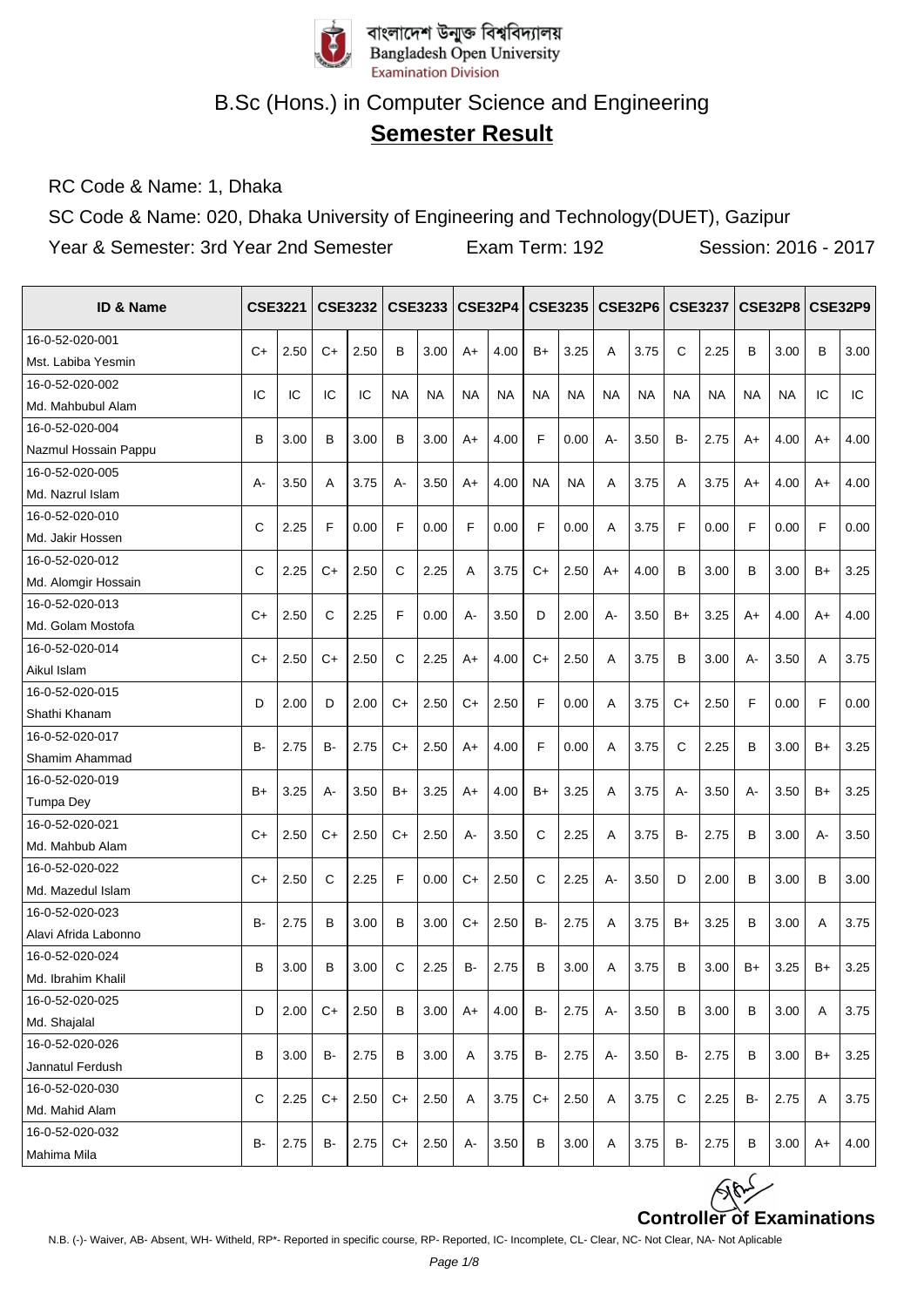

# **Semester Result**

RC Code & Name: 1, Dhaka

SC Code & Name: 020, Dhaka University of Engineering and Technology(DUET), Gazipur

| ID & Name            |      | <b>CSE3221</b> |      | <b>CSE3232</b> |           | <b>CSE3233   CSE32P4</b> |       |           |           | <b>CSE3235</b> |           | <b>CSE32P6</b> |           | <b>CSE3237</b> |           | <b>CSE32P8   CSE32P9</b> |      |      |
|----------------------|------|----------------|------|----------------|-----------|--------------------------|-------|-----------|-----------|----------------|-----------|----------------|-----------|----------------|-----------|--------------------------|------|------|
| 16-0-52-020-001      |      |                |      |                |           |                          |       |           |           |                |           |                |           |                |           |                          |      |      |
| Mst. Labiba Yesmin   | $C+$ | 2.50           | $C+$ | 2.50           | B         | 3.00                     | A+    | 4.00      | $B+$      | 3.25           | A         | 3.75           | C         | 2.25           | В         | 3.00                     | В    | 3.00 |
| 16-0-52-020-002      |      |                |      |                |           |                          |       |           |           |                |           |                |           |                |           |                          |      |      |
| Md. Mahbubul Alam    | IC   | IC             | IC   | IC             | <b>NA</b> | <b>NA</b>                | NA    | <b>NA</b> | <b>NA</b> | <b>NA</b>      | <b>NA</b> | <b>NA</b>      | <b>NA</b> | <b>NA</b>      | <b>NA</b> | NA                       | IC   | IC   |
| 16-0-52-020-004      | B    | 3.00           | В    | 3.00           | B         | 3.00                     | A+    | 4.00      | F         | 0.00           | А-        | 3.50           | <b>B-</b> | 2.75           |           | 4.00                     | A+   | 4.00 |
| Nazmul Hossain Pappu |      |                |      |                |           |                          |       |           |           |                |           |                |           |                | A+        |                          |      |      |
| 16-0-52-020-005      | А-   | 3.50           | A    | 3.75           | $A -$     | 3.50                     | $A+$  | 4.00      | <b>NA</b> | <b>NA</b>      | A         | 3.75           | A         | 3.75           | A+        | 4.00                     | $A+$ | 4.00 |
| Md. Nazrul Islam     |      |                |      |                |           |                          |       |           |           |                |           |                |           |                |           |                          |      |      |
| 16-0-52-020-010      | C    | 2.25           | F    | 0.00           | F         | 0.00                     | F     | 0.00      | F         | 0.00           | A         | 3.75           | F         | 0.00           | F         | 0.00                     | F    | 0.00 |
| Md. Jakir Hossen     |      |                |      |                |           |                          |       |           |           |                |           |                |           |                |           |                          |      |      |
| 16-0-52-020-012      | C    | 2.25           | C+   | 2.50           | С         | 2.25                     | A     | 3.75      | $C+$      | 2.50           | $A+$      | 4.00           | в         | 3.00           | В         | 3.00                     | B+   | 3.25 |
| Md. Alomgir Hossain  |      |                |      |                |           |                          |       |           |           |                |           |                |           |                |           |                          |      |      |
| 16-0-52-020-013      | C+   | 2.50           | C    | 2.25           | F         | 0.00                     | $A -$ | 3.50      | D         | 2.00           | A-        | 3.50           | $B+$      | 3.25           | A+        | 4.00                     | $A+$ | 4.00 |
| Md. Golam Mostofa    |      |                |      |                |           |                          |       |           |           |                |           |                |           |                |           |                          |      |      |
| 16-0-52-020-014      | C+   | 2.50           | C+   | 2.50           | C         | 2.25                     | A+    | 4.00      | $C+$      | 2.50           | A         | 3.75           | в         | 3.00           | А-        | 3.50                     | A    | 3.75 |
| Aikul Islam          |      |                |      |                |           |                          |       |           |           |                |           |                |           |                |           |                          |      |      |
| 16-0-52-020-015      | D    | 2.00           | D    | 2.00           | C+        | 2.50                     | C+    | 2.50      | F         | 0.00           | Α         | 3.75           | C+        | 2.50           | F         | 0.00                     | F    | 0.00 |
| Shathi Khanam        |      |                |      |                |           |                          |       |           |           |                |           |                |           |                |           |                          |      |      |
| 16-0-52-020-017      | B-   | 2.75           | B-   | 2.75           | C+        | 2.50                     | A+    | 4.00      | F         | 0.00           | A         | 3.75           | C         | 2.25           | В         | 3.00                     | B+   | 3.25 |
| Shamim Ahammad       |      |                |      |                |           |                          |       |           |           |                |           |                |           |                |           |                          |      |      |
| 16-0-52-020-019      | $B+$ | 3.25           | А-   | 3.50           | B+        | 3.25                     | A+    | 4.00      | $B+$      | 3.25           | A         | 3.75           | А-        | 3.50           | А-        | 3.50                     | B+   | 3.25 |
| <b>Tumpa Dey</b>     |      |                |      |                |           |                          |       |           |           |                |           |                |           |                |           |                          |      |      |
| 16-0-52-020-021      | $C+$ | 2.50           | C+   | 2.50           | $C+$      | 2.50                     | $A -$ | 3.50      | C         | 2.25           | A         | 3.75           | <b>B-</b> | 2.75           | В         | 3.00                     | А-   | 3.50 |
| Md. Mahbub Alam      |      |                |      |                |           |                          |       |           |           |                |           |                |           |                |           |                          |      |      |
| 16-0-52-020-022      | $C+$ | 2.50           | C    | 2.25           | F         | 0.00                     | $C+$  | 2.50      | C         | 2.25           | А-        | 3.50           | D         | 2.00           | B         | 3.00                     | B    | 3.00 |
| Md. Mazedul Islam    |      |                |      |                |           |                          |       |           |           |                |           |                |           |                |           |                          |      |      |
| 16-0-52-020-023      | B-   | 2.75           | В    | 3.00           | B         | 3.00                     | C+    | 2.50      | B-        | 2.75           | A         | 3.75           | B+        | 3.25           | B         | 3.00                     | Α    | 3.75 |
| Alavi Afrida Labonno |      |                |      |                |           |                          |       |           |           |                |           |                |           |                |           |                          |      |      |
| 16-0-52-020-024      | B    | 3.00           | B    | 3.00           | C         | 2.25                     | B-    | 2.75      | B         | 3.00           | A         | 3.75           | B         | 3.00           | $B+$      | 3.25                     | $B+$ | 3.25 |
| Md. Ibrahim Khalil   |      |                |      |                |           |                          |       |           |           |                |           |                |           |                |           |                          |      |      |
| 16-0-52-020-025      | D    | 2.00           | C+   | 2.50           | в         | 3.00                     | A+    | 4.00      | B-        | 2.75           | А-        | 3.50           | B         | 3.00           | В         | 3.00                     | Α    | 3.75 |
| Md. Shajalal         |      |                |      |                |           |                          |       |           |           |                |           |                |           |                |           |                          |      |      |
| 16-0-52-020-026      | B    | 3.00           | B-   | 2.75           | в         | 3.00                     | Α     | 3.75      | в.        | 2.75           | А-        | 3.50           | B-        | 2.75           | В         | 3.00                     | B+   | 3.25 |
| Jannatul Ferdush     |      |                |      |                |           |                          |       |           |           |                |           |                |           |                |           |                          |      |      |
| 16-0-52-020-030      | C    | 2.25           | C+   | 2.50           | C+        | 2.50                     | A     | 3.75      | C+        | 2.50           | Α         | 3.75           | С         | 2.25           | B-        | 2.75                     | Α    | 3.75 |
| Md. Mahid Alam       |      |                |      |                |           |                          |       |           |           |                |           |                |           |                |           |                          |      |      |
| 16-0-52-020-032      | B-   | 2.75           | B-   | 2.75           | $C+$      | 2.50                     | А-    | 3.50      | В         | 3.00           | A         | 3.75           | B-        | 2.75           | В         | 3.00                     | A+   | 4.00 |
| Mahima Mila          |      |                |      |                |           |                          |       |           |           |                |           |                |           |                |           |                          |      |      |

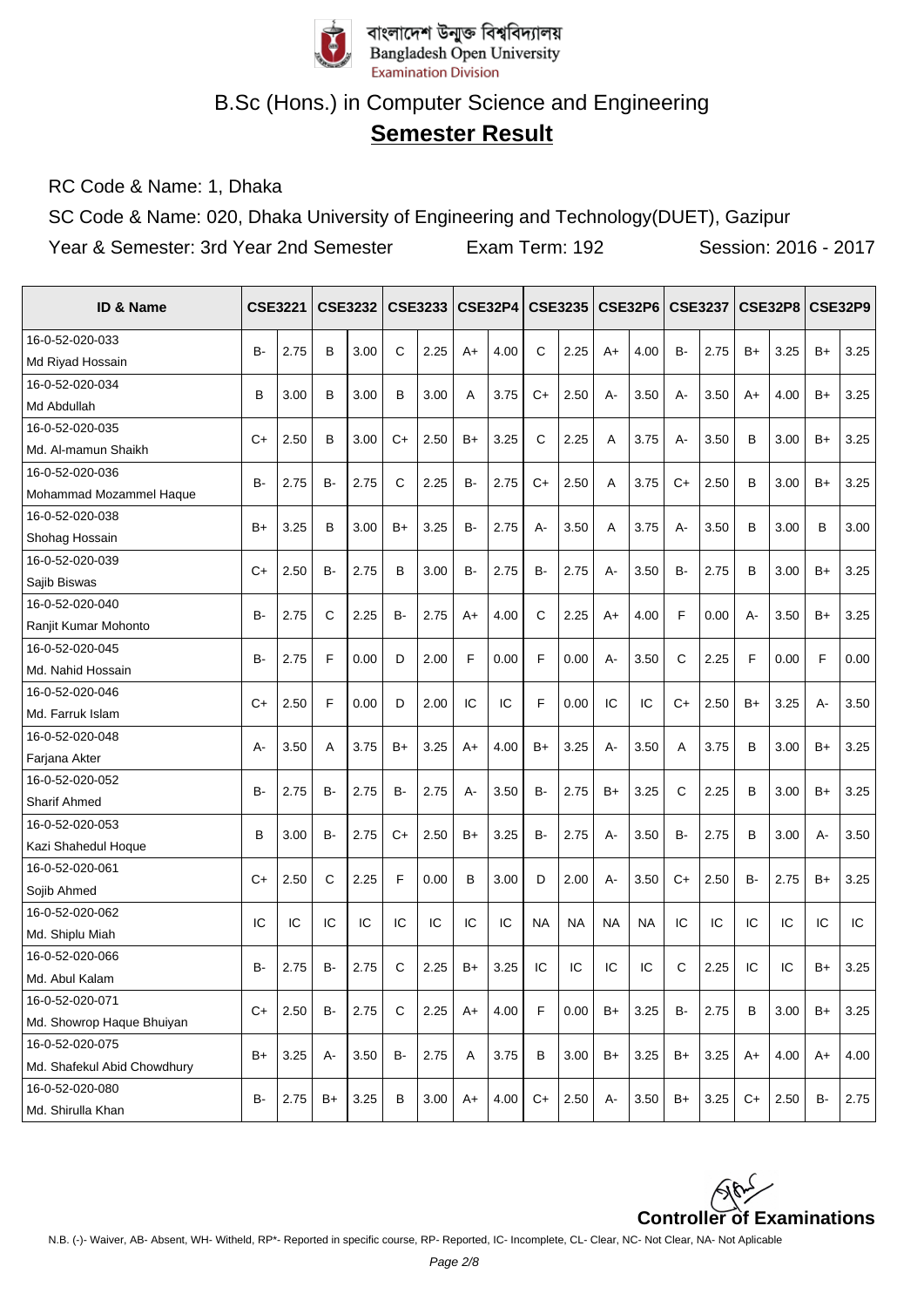

# **Semester Result**

RC Code & Name: 1, Dhaka

SC Code & Name: 020, Dhaka University of Engineering and Technology(DUET), Gazipur

| <b>ID &amp; Name</b>        |           | <b>CSE3221</b> |           | <b>CSE3232</b> |      | <b>CSE3233</b> |       | <b>CSE32P4</b> |           | <b>CSE3235</b> |           | CSE32P6 CSE3237 |           |      |           | <b>CSE32P8</b> |           | <b>CSE32P9</b> |
|-----------------------------|-----------|----------------|-----------|----------------|------|----------------|-------|----------------|-----------|----------------|-----------|-----------------|-----------|------|-----------|----------------|-----------|----------------|
| 16-0-52-020-033             | B-        | 2.75           | B         | 3.00           | C    | 2.25           | A+    | 4.00           | C         | 2.25           | $A+$      | 4.00            | <b>B-</b> | 2.75 | $B+$      | 3.25           | B+        | 3.25           |
| Md Riyad Hossain            |           |                |           |                |      |                |       |                |           |                |           |                 |           |      |           |                |           |                |
| 16-0-52-020-034             | B         | 3.00           | B         | 3.00           | B    | 3.00           | A     | 3.75           | $C+$      | 2.50           | A-        | 3.50            | $A -$     | 3.50 | A+        | 4.00           | $B+$      | 3.25           |
| Md Abdullah                 |           |                |           |                |      |                |       |                |           |                |           |                 |           |      |           |                |           |                |
| 16-0-52-020-035             | $C+$      | 2.50           | В         | 3.00           | $C+$ | 2.50           | B+    | 3.25           | C         | 2.25           | A         | 3.75            | $A -$     | 3.50 | B         | 3.00           | B+        | 3.25           |
| Md. Al-mamun Shaikh         |           |                |           |                |      |                |       |                |           |                |           |                 |           |      |           |                |           |                |
| 16-0-52-020-036             | <b>B-</b> | 2.75           | <b>B-</b> | 2.75           | C    | 2.25           | B-    | 2.75           | $C+$      | 2.50           | A         | 3.75            | $C+$      | 2.50 | B         | 3.00           | $B+$      | 3.25           |
| Mohammad Mozammel Haque     |           |                |           |                |      |                |       |                |           |                |           |                 |           |      |           |                |           |                |
| 16-0-52-020-038             | $B+$      | 3.25           | B         | 3.00           | $B+$ | 3.25           | B-    | 2.75           | $A -$     | 3.50           | A         | 3.75            | $A -$     | 3.50 | B         | 3.00           | B         | 3.00           |
| Shohag Hossain              |           |                |           |                |      |                |       |                |           |                |           |                 |           |      |           |                |           |                |
| 16-0-52-020-039             | $C+$      | 2.50           | <b>B-</b> | 2.75           | В    | 3.00           | B-    | 2.75           | B-        | 2.75           | A-        | 3.50            | <b>B-</b> | 2.75 | B         | 3.00           | B+        | 3.25           |
| Sajib Biswas                |           |                |           |                |      |                |       |                |           |                |           |                 |           |      |           |                |           |                |
| 16-0-52-020-040             |           |                |           |                |      |                |       |                |           |                |           |                 | F         |      |           |                |           |                |
| Ranjit Kumar Mohonto        | <b>B-</b> | 2.75           | C         | 2.25           | в-   | 2.75           | $A+$  | 4.00           | C         | 2.25           | $A+$      | 4.00            |           | 0.00 | А-        | 3.50           | $B+$      | 3.25           |
| 16-0-52-020-045             |           |                | F         |                |      |                | F     |                | F         |                |           |                 |           |      | F         |                |           |                |
| Md. Nahid Hossain           | <b>B-</b> | 2.75           |           | 0.00           | D    | 2.00           |       | 0.00           |           | 0.00           | A-        | 3.50            | C         | 2.25 |           | 0.00           | F         | 0.00           |
| 16-0-52-020-046             | $C+$      | 2.50           | F         | 0.00           | D    | 2.00           | IC    | IC             | F         | 0.00           | IC        | IC              | $C+$      | 2.50 | B+        | 3.25           | А-        | 3.50           |
| Md. Farruk Islam            |           |                |           |                |      |                |       |                |           |                |           |                 |           |      |           |                |           |                |
| 16-0-52-020-048             | $A-$      | 3.50           | A         | 3.75           | B+   | 3.25           | $A+$  | 4.00           | $B+$      | 3.25           | A-        | 3.50            | A         | 3.75 | В         | 3.00           | $B+$      | 3.25           |
| Farjana Akter               |           |                |           |                |      |                |       |                |           |                |           |                 |           |      |           |                |           |                |
| 16-0-52-020-052             | <b>B-</b> | 2.75           | <b>B-</b> | 2.75           | в-   | 2.75           |       | 3.50           | <b>B-</b> | 2.75           | $B+$      | 3.25            | C         | 2.25 | В         | 3.00           |           | 3.25           |
| Sharif Ahmed                |           |                |           |                |      |                | $A -$ |                |           |                |           |                 |           |      |           |                | B+        |                |
| 16-0-52-020-053             | B         | 3.00           | <b>B-</b> | 2.75           | $C+$ | 2.50           | B+    | 3.25           | B-        | 2.75           | $A -$     | 3.50            | <b>B-</b> | 2.75 | B         | 3.00           | А-        | 3.50           |
| Kazi Shahedul Hoque         |           |                |           |                |      |                |       |                |           |                |           |                 |           |      |           |                |           |                |
| 16-0-52-020-061             | $C+$      | 2.50           | C         | 2.25           | F    | 0.00           | B     | 3.00           | D         | 2.00           | $A -$     | 3.50            | $C+$      | 2.50 | <b>B-</b> | 2.75           | B+        | 3.25           |
| Sojib Ahmed                 |           |                |           |                |      |                |       |                |           |                |           |                 |           |      |           |                |           |                |
| 16-0-52-020-062             | IC        | IC             | IC        | IC             | IC   | IC             | IC    | IC             | <b>NA</b> | <b>NA</b>      | <b>NA</b> | <b>NA</b>       | IC        | IC   | IC        | IC             | IC        | IC             |
| Md. Shiplu Miah             |           |                |           |                |      |                |       |                |           |                |           |                 |           |      |           |                |           |                |
| 16-0-52-020-066             | <b>B-</b> | 2.75           | <b>B-</b> | 2.75           | C    | 2.25           | $B+$  | 3.25           | IC        | IC             | IC        | IC              | C         | 2.25 | IC        | IC             | $B+$      | 3.25           |
| Md. Abul Kalam              |           |                |           |                |      |                |       |                |           |                |           |                 |           |      |           |                |           |                |
| 16-0-52-020-071             |           |                |           |                |      |                |       |                |           |                |           |                 |           |      |           |                |           |                |
| Md. Showrop Haque Bhuiyan   | $C+$      | 2.50           | <b>B-</b> | 2.75           | C    | 2.25           | A+    | 4.00           | F         | 0.00           | $B+$      | 3.25            | <b>B-</b> | 2.75 | В         | 3.00           | B+        | 3.25           |
| 16-0-52-020-075             |           |                |           |                |      |                |       |                |           |                |           |                 |           |      |           |                |           |                |
| Md. Shafekul Abid Chowdhury | $B+$      | 3.25           | А-        | 3.50           | B-   | 2.75           | Α     | 3.75           | B         | 3.00           | $B+$      | 3.25            | B+        | 3.25 | $A+$      | 4.00           | $A+$      | 4.00           |
| 16-0-52-020-080             | <b>B-</b> |                |           |                | B    |                |       |                | $C+$      |                |           |                 | $B+$      |      | $C+$      |                | <b>B-</b> | 2.75           |
| Md. Shirulla Khan           |           | 2.75           | B+        | 3.25           |      | 3.00           | A+    | 4.00           |           | 2.50           | А-        | 3.50            |           | 3.25 |           | 2.50           |           |                |

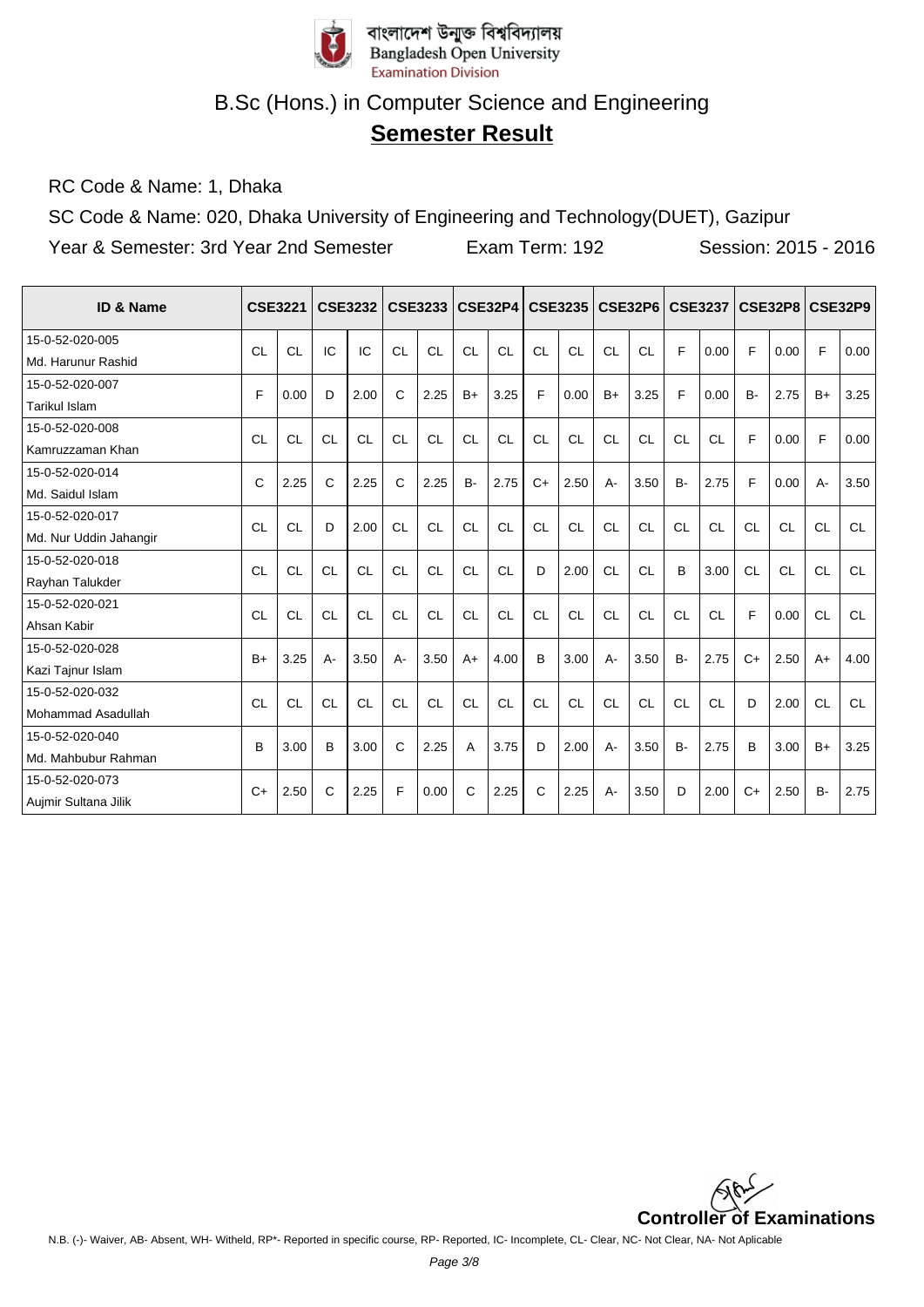

# **Semester Result**

RC Code & Name: 1, Dhaka

SC Code & Name: 020, Dhaka University of Engineering and Technology(DUET), Gazipur

| <b>ID &amp; Name</b>   |           | <b>CSE3221</b> |           | <b>CSE3232</b> |              | <b>CSE3233</b> |           | <b>CSE32P4</b> |              | <b>CSE3235</b> |           | <b>CSE32P6</b> |           | <b>CSE3237</b> |           | <b>CSE32P8</b> |           | <b>CSE32P9</b> |
|------------------------|-----------|----------------|-----------|----------------|--------------|----------------|-----------|----------------|--------------|----------------|-----------|----------------|-----------|----------------|-----------|----------------|-----------|----------------|
| 15-0-52-020-005        | CL        | <b>CL</b>      | IC        | IC             | <b>CL</b>    | <b>CL</b>      | CL        | <b>CL</b>      | CL           | <b>CL</b>      | CL        | CL             | F         | 0.00           | F         | 0.00           | F         | 0.00           |
| Md. Harunur Rashid     |           |                |           |                |              |                |           |                |              |                |           |                |           |                |           |                |           |                |
| 15-0-52-020-007        | F.        | 0.00           | D         | 2.00           | $\mathsf{C}$ | 2.25           | $B+$      | 3.25           | F            | 0.00           | $B+$      | 3.25           | F         | 0.00           | <b>B-</b> | 2.75           | $B+$      | 3.25           |
| Tarikul Islam          |           |                |           |                |              |                |           |                |              |                |           |                |           |                |           |                |           |                |
| 15-0-52-020-008        | CL        | <b>CL</b>      | <b>CL</b> | <b>CL</b>      | CL           | <b>CL</b>      | <b>CL</b> | <b>CL</b>      | <b>CL</b>    | <b>CL</b>      | CL        | <b>CL</b>      | <b>CL</b> | CL             | F         | 0.00           | F         | 0.00           |
| Kamruzzaman Khan       |           |                |           |                |              |                |           |                |              |                |           |                |           |                |           |                |           |                |
| 15-0-52-020-014        | C         | 2.25           | C         | 2.25           | C            | 2.25           | <b>B-</b> | 2.75           | $C+$         | 2.50           | $A -$     | 3.50           | <b>B-</b> | 2.75           | F         | 0.00           | А-        | 3.50           |
| Md. Saidul Islam       |           |                |           |                |              |                |           |                |              |                |           |                |           |                |           |                |           |                |
| 15-0-52-020-017        | <b>CL</b> | <b>CL</b>      | D         | 2.00           | <b>CL</b>    | <b>CL</b>      | <b>CL</b> | <b>CL</b>      | CL           | <b>CL</b>      | CL        | <b>CL</b>      | <b>CL</b> | <b>CL</b>      | <b>CL</b> | <b>CL</b>      | <b>CL</b> | CL.            |
| Md. Nur Uddin Jahangir |           |                |           |                |              |                |           |                |              |                |           |                |           |                |           |                |           |                |
| 15-0-52-020-018        | <b>CL</b> | <b>CL</b>      | <b>CL</b> | <b>CL</b>      | <b>CL</b>    | <b>CL</b>      | <b>CL</b> | <b>CL</b>      | D            | 2.00           | <b>CL</b> | <b>CL</b>      | B         | 3.00           | <b>CL</b> | <b>CL</b>      | <b>CL</b> | <b>CL</b>      |
| Rayhan Talukder        |           |                |           |                |              |                |           |                |              |                |           |                |           |                |           |                |           |                |
| 15-0-52-020-021        | <b>CL</b> | <b>CL</b>      | <b>CL</b> | <b>CL</b>      | CL           | <b>CL</b>      | CL        | <b>CL</b>      | <b>CL</b>    | <b>CL</b>      | CL        | CL             | <b>CL</b> | CL             | F         | 0.00           | <b>CL</b> | CL             |
| Ahsan Kabir            |           |                |           |                |              |                |           |                |              |                |           |                |           |                |           |                |           |                |
| 15-0-52-020-028        | $B+$      | 3.25           | $A -$     | 3.50           | A-           | 3.50           | $A+$      | 4.00           | <sub>B</sub> | 3.00           | $A -$     | 3.50           | <b>B-</b> | 2.75           | $C+$      | 2.50           | $A+$      | 4.00           |
| Kazi Tajnur Islam      |           |                |           |                |              |                |           |                |              |                |           |                |           |                |           |                |           |                |
| 15-0-52-020-032        | <b>CL</b> | <b>CL</b>      | <b>CL</b> | <b>CL</b>      | <b>CL</b>    | <b>CL</b>      | <b>CL</b> | <b>CL</b>      | <b>CL</b>    | <b>CL</b>      | CL        | <b>CL</b>      | <b>CL</b> | CL             | D         | 2.00           | <b>CL</b> | <b>CL</b>      |
| Mohammad Asadullah     |           |                |           |                |              |                |           |                |              |                |           |                |           |                |           |                |           |                |
| 15-0-52-020-040        | B         | 3.00           | B         | 3.00           | $\mathsf{C}$ | 2.25           | A         | 3.75           | D            | 2.00           | $A -$     | 3.50           | <b>B-</b> | 2.75           | B         | 3.00           | $B+$      | 3.25           |
| Md. Mahbubur Rahman    |           |                |           |                |              |                |           |                |              |                |           |                |           |                |           |                |           |                |
| 15-0-52-020-073        | $C+$      | 2.50           | C         | 2.25           | F            | 0.00           | C         | 2.25           | C            | 2.25           | $A -$     | 3.50           | D         | 2.00           | $C+$      | 2.50           | <b>B-</b> | 2.75           |
| Aujmir Sultana Jilik   |           |                |           |                |              |                |           |                |              |                |           |                |           |                |           |                |           |                |

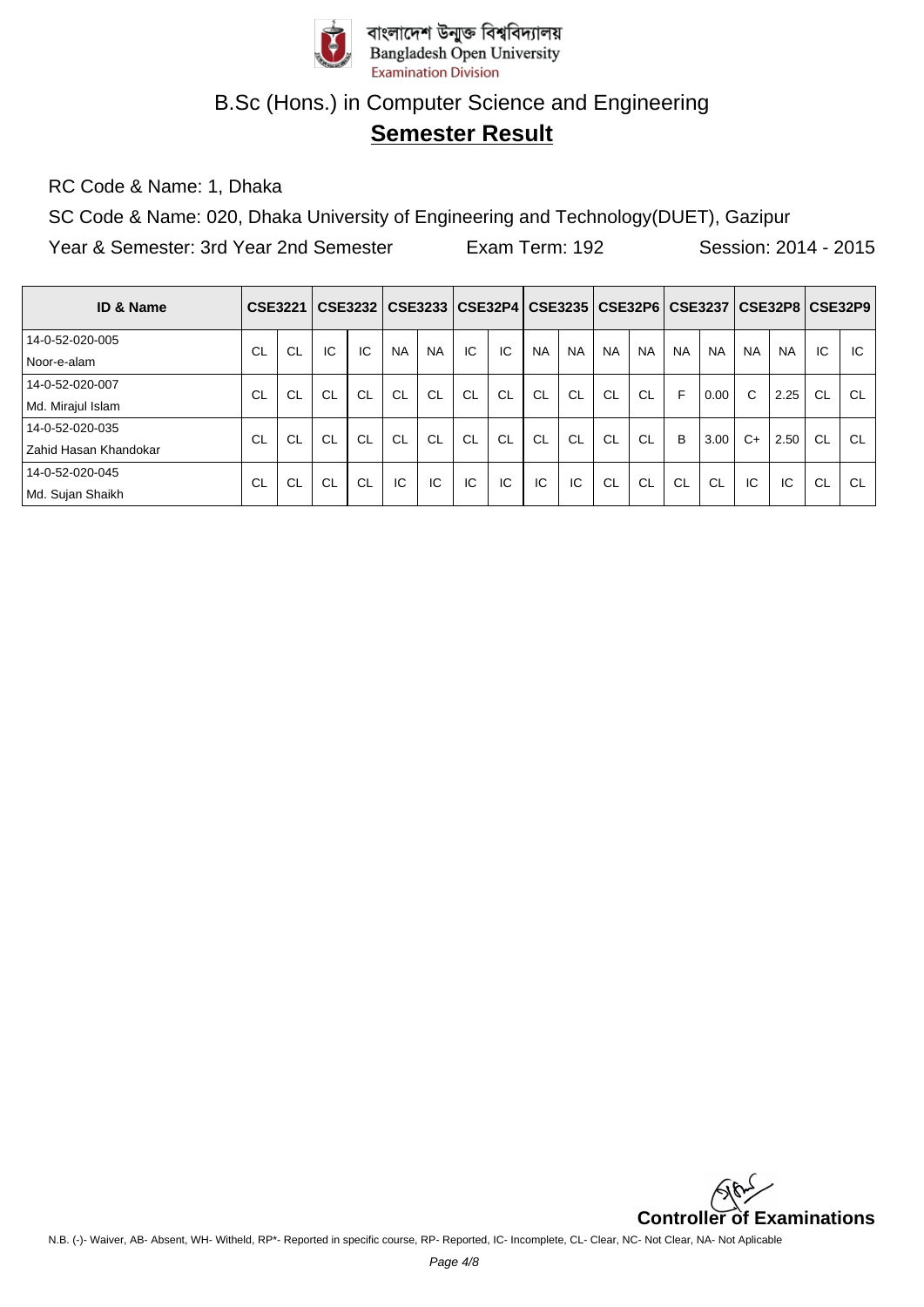

## **Semester Result**

RC Code & Name: 1, Dhaka

SC Code & Name: 020, Dhaka University of Engineering and Technology(DUET), Gazipur

| <b>ID &amp; Name</b>  | <b>CSE3221</b> |           |           | CSE3232   |           |           |    |           |           |           | CSE3233   CSE32P4   CSE3235   CSE32P6   CSE3237 |           |           |           |           | CSE32P8   CSE32P9 |           |           |
|-----------------------|----------------|-----------|-----------|-----------|-----------|-----------|----|-----------|-----------|-----------|-------------------------------------------------|-----------|-----------|-----------|-----------|-------------------|-----------|-----------|
| 14-0-52-020-005       | CL             | <b>CL</b> | IC        | IC        | <b>NA</b> | <b>NA</b> | IC | IC        | <b>NA</b> | <b>NA</b> | <b>NA</b>                                       | <b>NA</b> | <b>NA</b> | <b>NA</b> | <b>NA</b> | <b>NA</b>         | IC        | IC        |
| Noor-e-alam           |                |           |           |           |           |           |    |           |           |           |                                                 |           |           |           |           |                   |           |           |
| 14-0-52-020-007       | CL             | <b>CL</b> | CL        | <b>CL</b> | CL        | CL        | CL | <b>CL</b> | <b>CL</b> | CL        | <b>CL</b>                                       | <b>CL</b> | F         | 0.00      | С         | 2.25              | CL        | <b>CL</b> |
| Md. Mirajul Islam     |                |           |           |           |           |           |    |           |           |           |                                                 |           |           |           |           |                   |           |           |
| 14-0-52-020-035       | CL             | <b>CL</b> | <b>CL</b> | <b>CL</b> | <b>CL</b> | <b>CL</b> | CL | <b>CL</b> | <b>CL</b> | <b>CL</b> | CL.                                             | <b>CL</b> | B         | 3.00      | $C+$      | 2.50              | <b>CL</b> | <b>CL</b> |
| Zahid Hasan Khandokar |                |           |           |           |           |           |    |           |           |           |                                                 |           |           |           |           |                   |           |           |
| 14-0-52-020-045       | -CL            | <b>CL</b> | CL        | <b>CL</b> | IC        | IC        | IC | IC        | IC        | IC        | CL                                              | <b>CL</b> | <b>CL</b> | <b>CL</b> | IC        | IC                | <b>CL</b> | CL        |
| Md. Sujan Shaikh      |                |           |           |           |           |           |    |           |           |           |                                                 |           |           |           |           |                   |           |           |

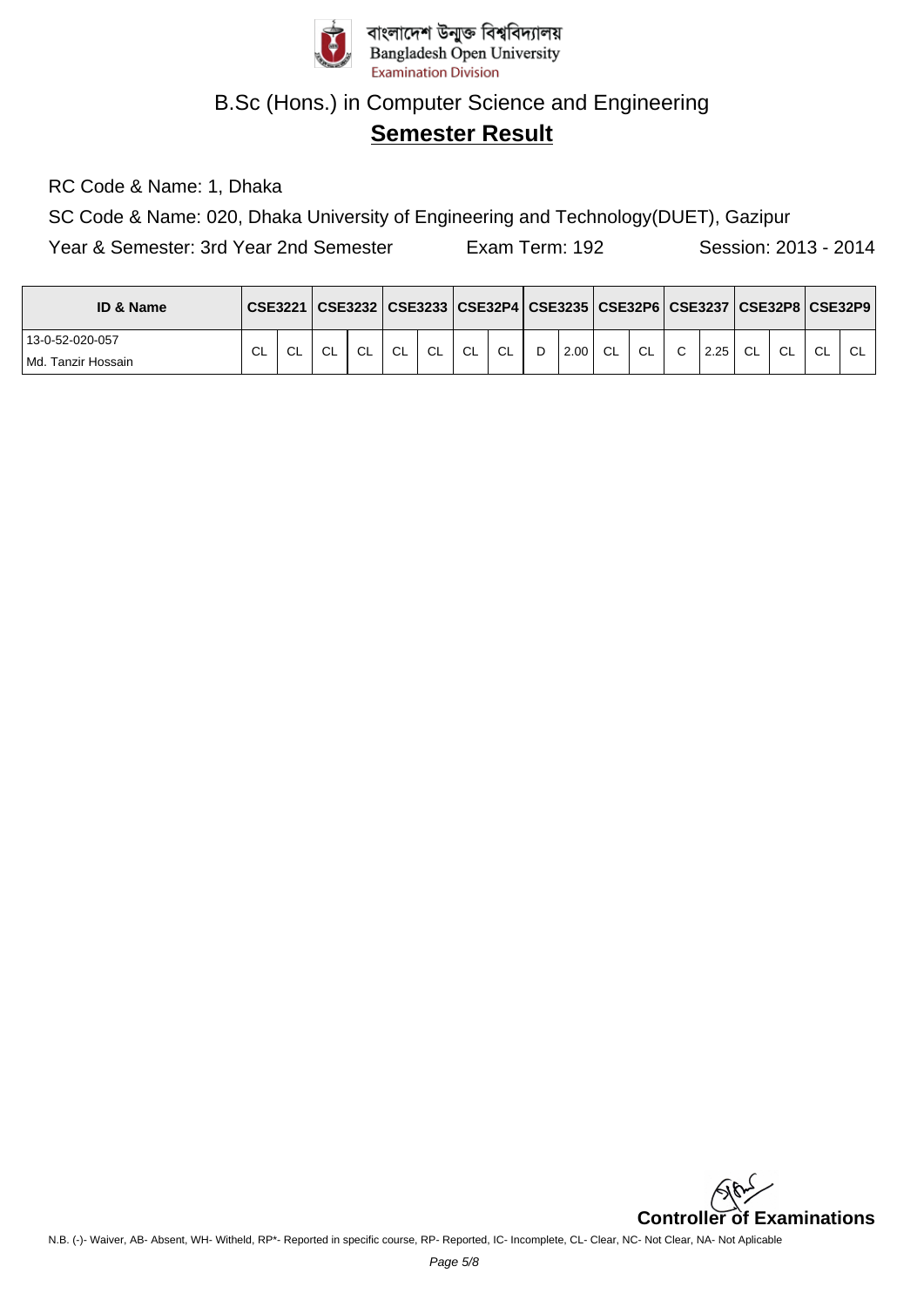

# **Semester Result**

RC Code & Name: 1, Dhaka

SC Code & Name: 020, Dhaka University of Engineering and Technology(DUET), Gazipur

| <b>ID &amp; Name</b> |     | <b>CSE3221</b> |           |        |     |    |     |           |   |      |           |    |        |      |    |     |        | CSE3232   CSE3233   CSE32P4   CSE3235   CSE32P6   CSE3237   CSE32P8   CSE32P9 |
|----------------------|-----|----------------|-----------|--------|-----|----|-----|-----------|---|------|-----------|----|--------|------|----|-----|--------|-------------------------------------------------------------------------------|
| 13-0-52-020-057      | CL. | CL             | <b>CL</b> | $\sim$ | CL. | CL | CL. | <b>CL</b> | D | 2.00 | <b>CL</b> | CL | $\sim$ | 2.25 | CL | -CL | $\sim$ | $\sim$                                                                        |
| l Md. Tanzir Hossain |     |                |           |        |     |    |     |           |   |      |           |    |        |      |    |     |        |                                                                               |

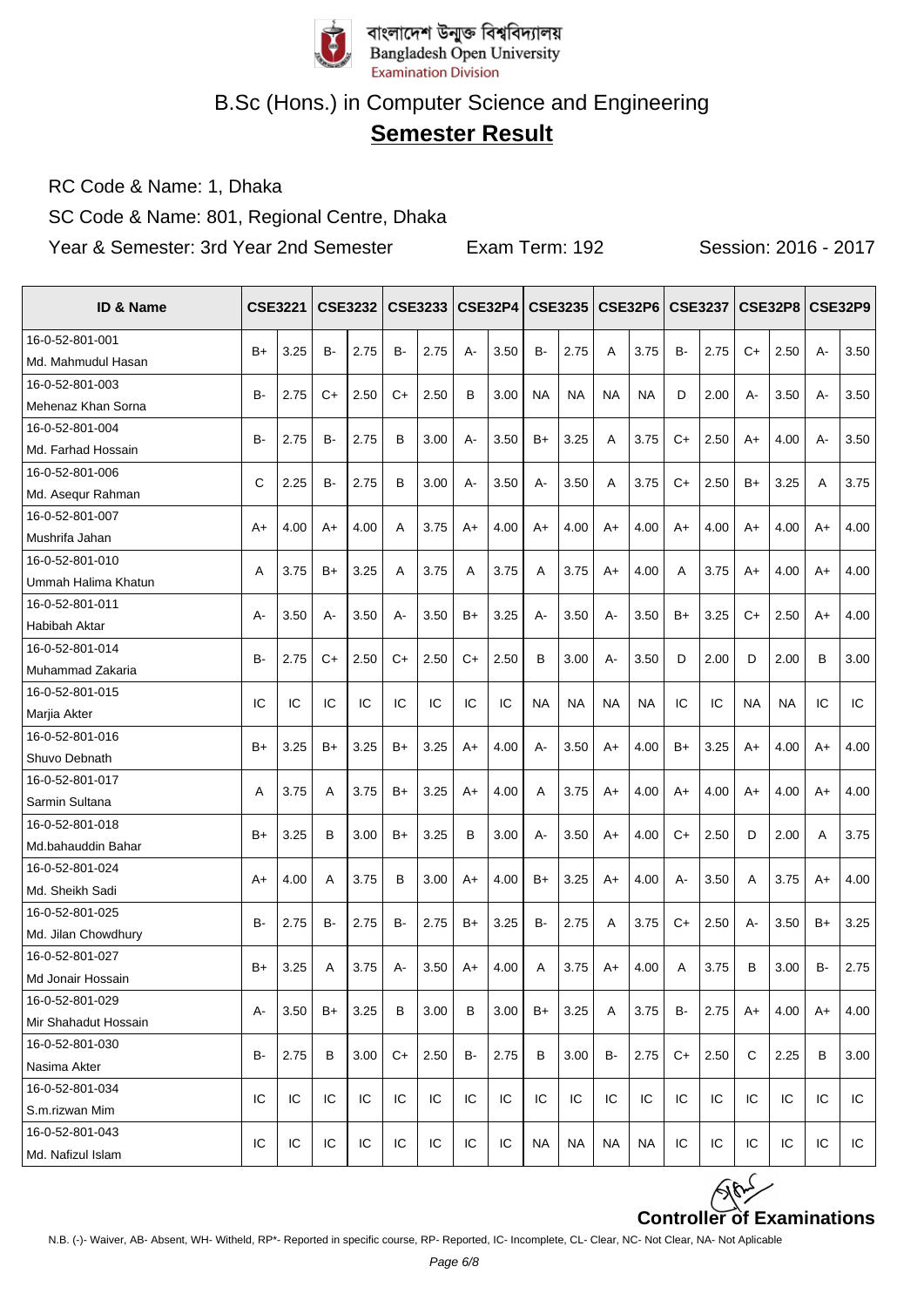

# **Semester Result**

RC Code & Name: 1, Dhaka

SC Code & Name: 801, Regional Centre, Dhaka

| ID & Name                       |              | <b>CSE3221</b> |           | <b>CSE3232</b> |           | CSE3233 |       | <b>CSE32P4</b> |           | <b>CSE3235</b> |           | <b>CSE32P6</b> |           | <b>CSE3237</b> |       | <b>CSE32P8   CSE32P9</b> |       |      |
|---------------------------------|--------------|----------------|-----------|----------------|-----------|---------|-------|----------------|-----------|----------------|-----------|----------------|-----------|----------------|-------|--------------------------|-------|------|
| 16-0-52-801-001                 | $B+$         | 3.25           | <b>B-</b> | 2.75           | <b>B-</b> | 2.75    | $A -$ | 3.50           | B-        | 2.75           | A         | 3.75           | <b>B-</b> | 2.75           | $C+$  | 2.50                     | $A -$ | 3.50 |
| Md. Mahmudul Hasan              |              |                |           |                |           |         |       |                |           |                |           |                |           |                |       |                          |       |      |
| 16-0-52-801-003                 | в-           | 2.75           | C+        | 2.50           | C+        | 2.50    | B     | 3.00           | NA        | NA             | <b>NA</b> | <b>NA</b>      | D         | 2.00           | $A -$ | 3.50                     | А-    | 3.50 |
| Mehenaz Khan Sorna              |              |                |           |                |           |         |       |                |           |                |           |                |           |                |       |                          |       |      |
| 16-0-52-801-004                 | в-           | 2.75           | B-        | 2.75           | В         | 3.00    | А-    | 3.50           | B+        | 3.25           | A         | 3.75           | C+        | 2.50           | A+    | 4.00                     | А-    | 3.50 |
| Md. Farhad Hossain              |              |                |           |                |           |         |       |                |           |                |           |                |           |                |       |                          |       |      |
| 16-0-52-801-006                 | $\mathsf{C}$ | 2.25           | B-        | 2.75           | B         | 3.00    | $A -$ | 3.50           | $A -$     | 3.50           | A         | 3.75           | $C+$      | 2.50           | B+    | 3.25                     | Α     | 3.75 |
| Md. Asequr Rahman               |              |                |           |                |           |         |       |                |           |                |           |                |           |                |       |                          |       |      |
| 16-0-52-801-007                 | A+           | 4.00           | A+        | 4.00           | A         | 3.75    | A+    | 4.00           | A+        | 4.00           | A+        | 4.00           | A+        | 4.00           | A+    | 4.00                     | A+    | 4.00 |
| Mushrifa Jahan                  |              |                |           |                |           |         |       |                |           |                |           |                |           |                |       |                          |       |      |
| 16-0-52-801-010                 | A            | 3.75           | B+        | 3.25           | A         | 3.75    | A     | 3.75           | A         | 3.75           | A+        | 4.00           | A         | 3.75           | A+    | 4.00                     | A+    | 4.00 |
| Ummah Halima Khatun             |              |                |           |                |           |         |       |                |           |                |           |                |           |                |       |                          |       |      |
| 16-0-52-801-011                 | А-           | 3.50           | A-        | 3.50           | А-        | 3.50    | $B+$  | 3.25           | $A -$     | 3.50           | A-        | 3.50           | $B+$      | 3.25           | $C+$  | 2.50                     | A+    | 4.00 |
| Habibah Aktar                   |              |                |           |                |           |         |       |                |           |                |           |                |           |                |       |                          |       |      |
| 16-0-52-801-014                 | B-           | 2.75           | C+        | 2.50           | C+        | 2.50    | C+    | 2.50           | B         | 3.00           | A-        | 3.50           | D         | 2.00           | D     | 2.00                     | B     | 3.00 |
| Muhammad Zakaria                |              |                |           |                |           |         |       |                |           |                |           |                |           |                |       |                          |       |      |
| 16-0-52-801-015                 | IC           | IC             | IC        | IC             | IC        | IC      | IC    | IC             | <b>NA</b> | <b>NA</b>      | <b>NA</b> | <b>NA</b>      | IC        | IC             | NA    | NA                       | IC    | IC   |
| Marjia Akter<br>16-0-52-801-016 |              |                |           |                |           |         |       |                |           |                |           |                |           |                |       |                          |       |      |
| Shuvo Debnath                   | $B+$         | 3.25           | B+        | 3.25           | B+        | 3.25    | $A+$  | 4.00           | $A -$     | 3.50           | $A+$      | 4.00           | $B+$      | 3.25           | A+    | 4.00                     | A+    | 4.00 |
| 16-0-52-801-017                 |              |                |           |                |           |         |       |                |           |                |           |                |           |                |       |                          |       |      |
| Sarmin Sultana                  | A            | 3.75           | Α         | 3.75           | B+        | 3.25    | $A+$  | 4.00           | A         | 3.75           | $A+$      | 4.00           | A+        | 4.00           | A+    | 4.00                     | A+    | 4.00 |
| 16-0-52-801-018                 |              |                |           |                |           |         |       |                |           |                |           |                |           |                |       |                          |       |      |
| Md.bahauddin Bahar              | $B+$         | 3.25           | B         | 3.00           | B+        | 3.25    | B     | 3.00           | $A -$     | 3.50           | $A+$      | 4.00           | $C+$      | 2.50           | D     | 2.00                     | A     | 3.75 |
| 16-0-52-801-024                 |              |                |           |                |           |         |       |                |           |                |           |                |           |                |       |                          |       |      |
| Md. Sheikh Sadi                 | $A+$         | 4.00           | Α         | 3.75           | в         | 3.00    | A+    | 4.00           | $B+$      | 3.25           | $A+$      | 4.00           | A-        | 3.50           | A     | 3.75                     | A+    | 4.00 |
| 16-0-52-801-025                 |              |                |           |                |           |         |       |                |           |                |           |                |           |                |       |                          |       |      |
| Md. Jilan Chowdhury             | B-           | 2.75           | B-        | 2.75           | B-        | 2.75    | B+    | 3.25           | B-        | 2.75           | Α         | 3.75           | $C+$      | 2.50           | А-    | 3.50                     | B+    | 3.25 |
| 16-0-52-801-027                 |              |                |           |                |           |         |       |                |           |                |           |                |           |                |       |                          |       |      |
| Md Jonair Hossain               | $B+$         | 3.25           | Α         | 3.75           | A-        | 3.50    | A+    | 4.00           | A         | 3.75           | $A+$      | 4.00           | A         | 3.75           | B     | 3.00                     | B-    | 2.75 |
| 16-0-52-801-029                 |              |                |           |                |           |         |       |                |           |                |           |                |           |                |       |                          |       |      |
| Mir Shahadut Hossain            | А-           | 3.50           | B+        | 3.25           | в         | 3.00    | B     | 3.00           | B+        | 3.25           | A         | 3.75           | B-        | 2.75           | A+    | 4.00                     | A+    | 4.00 |
| 16-0-52-801-030                 |              |                |           |                |           |         |       |                |           |                |           |                |           |                |       |                          |       |      |
| Nasima Akter                    | B-           | 2.75           | В         | 3.00           | C+        | 2.50    | B-    | 2.75           | B         | 3.00           | B-        | 2.75           | C+        | 2.50           | C     | 2.25                     | B     | 3.00 |
| 16-0-52-801-034                 |              |                |           |                |           |         |       |                |           |                |           |                |           |                |       |                          |       |      |
| S.m.rizwan Mim                  | IC           | IC             | IC        | IC             | IC        | IC      | IC    | IC             | IC        | IC             | IC        | IC             | IC        | IC             | IC    | IC                       | IC    | IC   |
| 16-0-52-801-043                 |              |                |           |                |           |         |       |                |           |                |           |                |           |                |       |                          |       |      |
| Md. Nafizul Islam               | IC           | IC             | IC        | IC             | IC        | IC      | IC    | IC             | NA        | <b>NA</b>      | NA        | <b>NA</b>      | IC        | IC             | IC    | IC.                      | IC    | IC   |

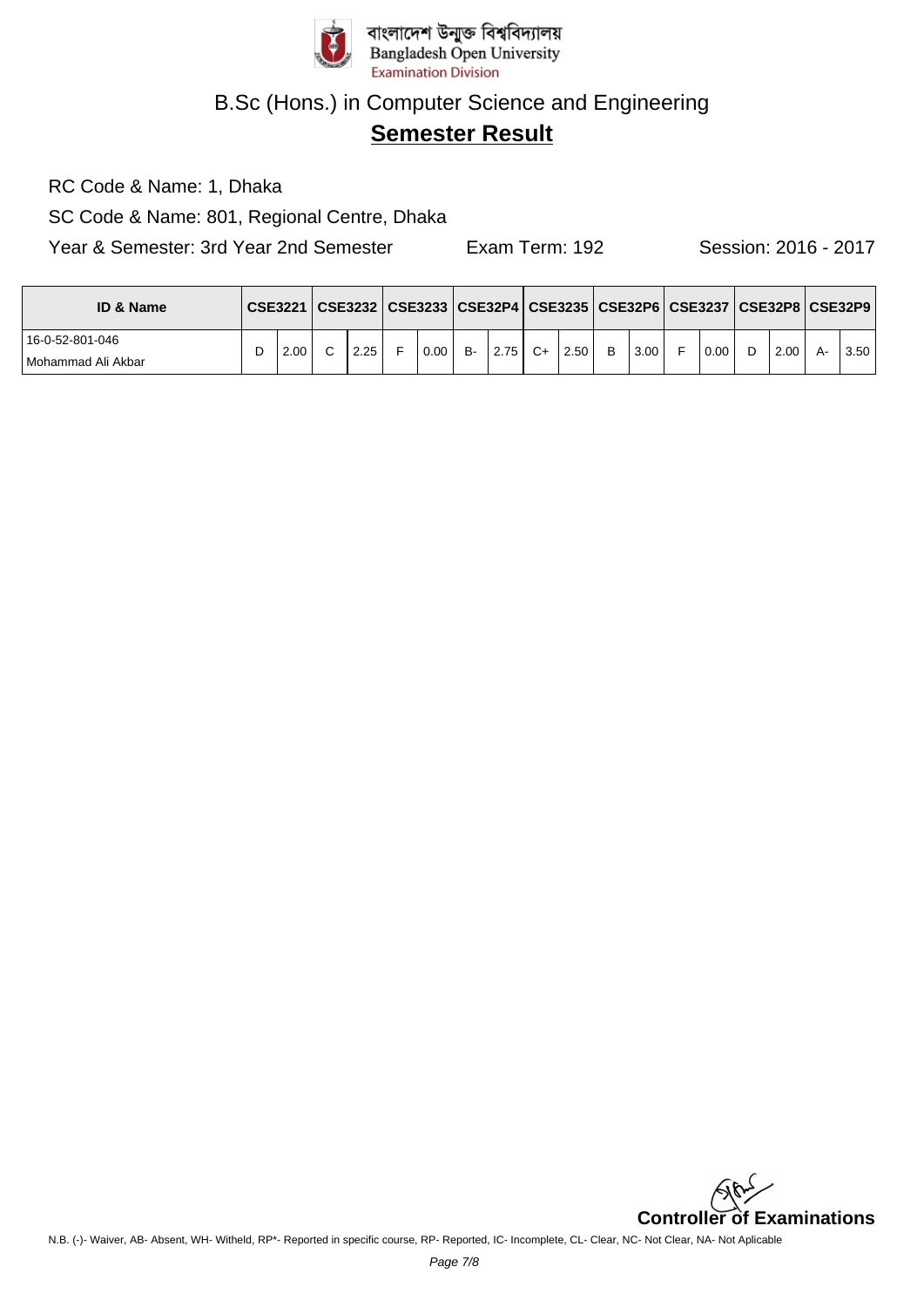

## **Semester Result**

RC Code & Name: 1, Dhaka

SC Code & Name: 801, Regional Centre, Dhaka

| <b>ID &amp; Name</b> |      | CSE3221   CSE3232   CSE3233   CSE32P4   CSE3235   CSE32P6   CSE3237   CSE32P8   CSE32P9 |      |           |      |             |   |      |      |    |      |      |
|----------------------|------|-----------------------------------------------------------------------------------------|------|-----------|------|-------------|---|------|------|----|------|------|
| 16-0-52-801-046      | 2.00 | 2.25                                                                                    | 0.00 | <b>B-</b> | 2.75 | $C+$   2.50 | B | 3.00 | 0.00 | D. | 2.00 | 3.50 |
| l Mohammad Ali Akbar |      |                                                                                         |      |           |      |             |   |      |      |    |      |      |